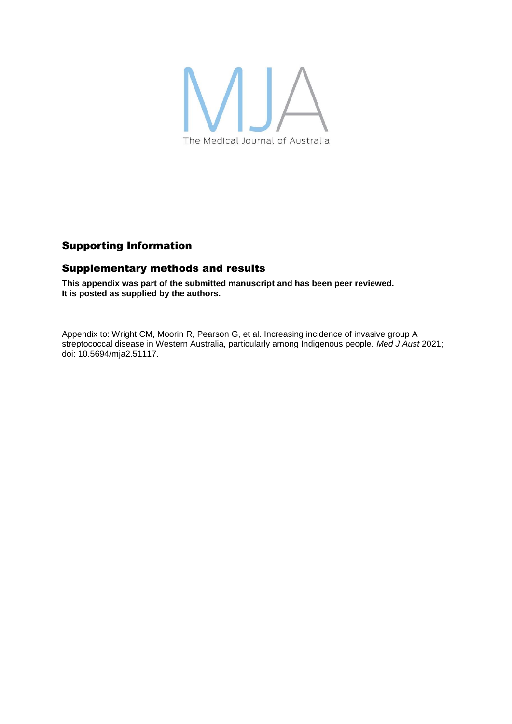

## Supporting Information

## Supplementary methods and results

**This appendix was part of the submitted manuscript and has been peer reviewed. It is posted as supplied by the authors.**

Appendix to: Wright CM, Moorin R, Pearson G, et al. Increasing incidence of invasive group A streptococcal disease in Western Australia, particularly among Indigenous people. *Med J Aust* 2021; doi: 10.5694/mja2.51117.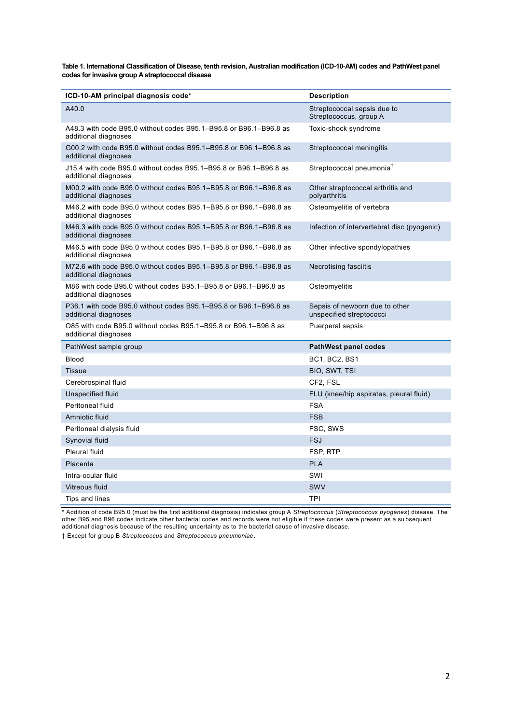**Table 1. International Classification of Disease, tenth revision, Australian modification (ICD-10-AM) codes and PathWest panel codes for invasive group A streptococcal disease**

| ICD-10-AM principal diagnosis code*                                                       | <b>Description</b>                                         |
|-------------------------------------------------------------------------------------------|------------------------------------------------------------|
| A40.0                                                                                     | Streptococcal sepsis due to<br>Streptococcus, group A      |
| A48.3 with code B95.0 without codes B95.1-B95.8 or B96.1-B96.8 as<br>additional diagnoses | Toxic-shock syndrome                                       |
| G00.2 with code B95.0 without codes B95.1-B95.8 or B96.1-B96.8 as<br>additional diagnoses | Streptococcal meningitis                                   |
| J15.4 with code B95.0 without codes B95.1–B95.8 or B96.1–B96.8 as<br>additional diagnoses | Streptococcal pneumonia <sup>†</sup>                       |
| M00.2 with code B95.0 without codes B95.1-B95.8 or B96.1-B96.8 as<br>additional diagnoses | Other streptococcal arthritis and<br>polyarthritis         |
| M46.2 with code B95.0 without codes B95.1-B95.8 or B96.1-B96.8 as<br>additional diagnoses | Osteomyelitis of vertebra                                  |
| M46.3 with code B95.0 without codes B95.1-B95.8 or B96.1-B96.8 as<br>additional diagnoses | Infection of intervertebral disc (pyogenic)                |
| M46.5 with code B95.0 without codes B95.1–B95.8 or B96.1–B96.8 as<br>additional diagnoses | Other infective spondylopathies                            |
| M72.6 with code B95.0 without codes B95.1–B95.8 or B96.1–B96.8 as<br>additional diagnoses | <b>Necrotising fasciitis</b>                               |
| M86 with code B95.0 without codes B95.1-B95.8 or B96.1-B96.8 as<br>additional diagnoses   | Osteomyelitis                                              |
| P36.1 with code B95.0 without codes B95.1-B95.8 or B96.1-B96.8 as<br>additional diagnoses | Sepsis of newborn due to other<br>unspecified streptococci |
| O85 with code B95.0 without codes B95.1-B95.8 or B96.1-B96.8 as<br>additional diagnoses   | Puerperal sepsis                                           |
| PathWest sample group                                                                     | <b>PathWest panel codes</b>                                |
| <b>Blood</b>                                                                              | <b>BC1, BC2, BS1</b>                                       |
| <b>Tissue</b>                                                                             | BIO, SWT, TSI                                              |
| Cerebrospinal fluid                                                                       | CF2, FSL                                                   |
| Unspecified fluid                                                                         | FLU (knee/hip aspirates, pleural fluid)                    |
| Peritoneal fluid                                                                          | <b>FSA</b>                                                 |
| Amniotic fluid                                                                            | <b>FSB</b>                                                 |
| Peritoneal dialysis fluid                                                                 | FSC, SWS                                                   |
| Synovial fluid                                                                            | <b>FSJ</b>                                                 |
| Pleural fluid                                                                             | FSP, RTP                                                   |
| Placenta                                                                                  | <b>PLA</b>                                                 |
| Intra-ocular fluid                                                                        | SWI                                                        |
| Vitreous fluid                                                                            | <b>SWV</b>                                                 |
| Tips and lines                                                                            | <b>TPI</b>                                                 |

\* Addition of code B95.0 (must be the first additional diagnosis) indicates group A *Streptococcus* (*Streptococcus pyogenes*) disease. The other B95 and B96 codes indicate other bacterial codes and records were not eligible if these codes were present as a su bsequent additional diagnosis because of the resulting uncertainty as to the bacterial cause of invasive disease.

† Except for group B *Streptococcus* and *Streptococcus pneumoniae*.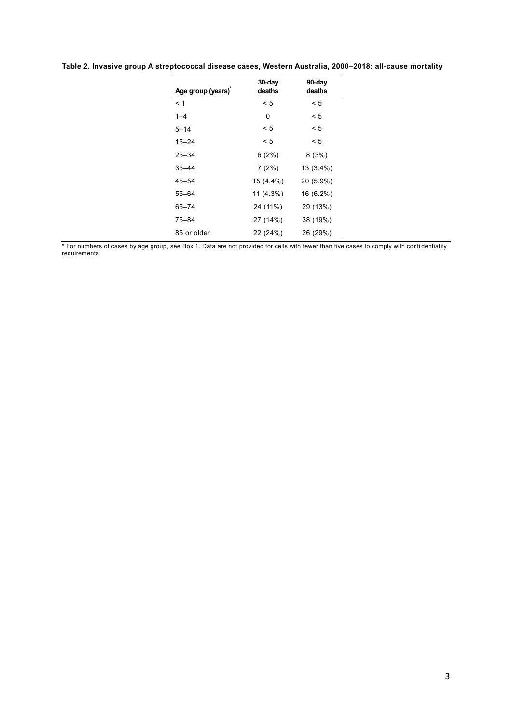| Age group (years) | 30-day<br>deaths | 90-day<br>deaths |
|-------------------|------------------|------------------|
| < 1               | < 5              | < 5              |
| $1 - 4$           | 0                | < 5              |
| $5 - 14$          | < 5              | < 5              |
| $15 - 24$         | < 5              | < 5              |
| $25 - 34$         | 6(2%)            | 8(3%)            |
| $35 - 44$         | 7(2%)            | 13 (3.4%)        |
| $45 - 54$         | 15 (4.4%)        | 20 (5.9%)        |
| $55 - 64$         | 11 (4.3%)        | 16 (6.2%)        |
| $65 - 74$         | 24 (11%)         | 29 (13%)         |
| $75 - 84$         | 27 (14%)         | 38 (19%)         |
| 85 or older       | 22 (24%)         | 26 (29%)         |

**Table 2. Invasive group A streptococcal disease cases, Western Australia, 2000–2018: all-cause mortality**

\* For numbers of cases by age group, see Box 1. Data are not provided for cells with fewer than five cases to comply with confi dentiality requirements.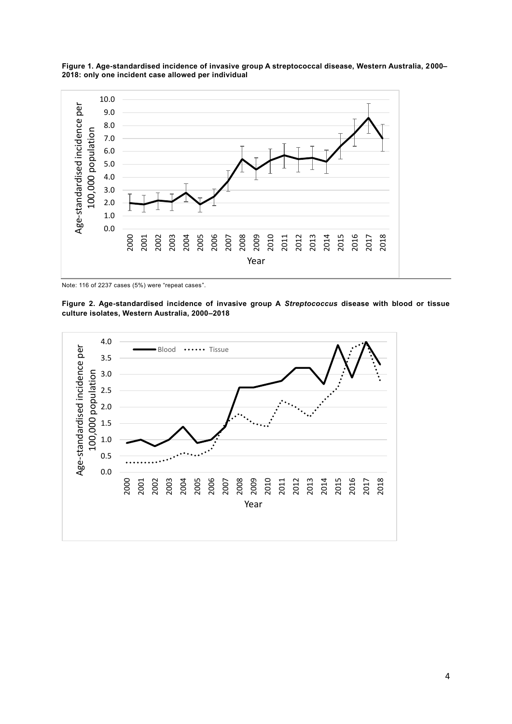

**Figure 1. Age-standardised incidence of invasive group A streptococcal disease, Western Australia, 2000– 2018: only one incident case allowed per individual**

Note: 116 of 2237 cases (5%) were "repeat cases".

**Figure 2. Age-standardised incidence of invasive group A** *Streptococcus* **disease with blood or tissue culture isolates, Western Australia, 2000–2018**